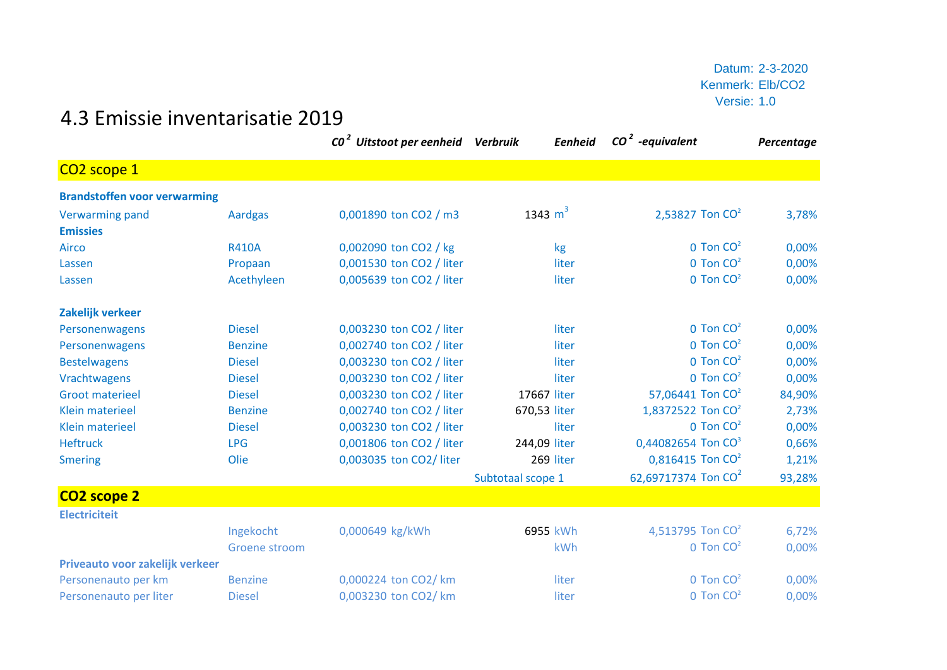## 4.3 Emissie inventarisatie 2019

|                                     |                | CO <sup>2</sup> Uitstoot per eenheid Verbruik | Eenheid           | $CO2$ -equivalent               | Percentage |
|-------------------------------------|----------------|-----------------------------------------------|-------------------|---------------------------------|------------|
| CO <sub>2</sub> scope 1             |                |                                               |                   |                                 |            |
| <b>Brandstoffen voor verwarming</b> |                |                                               |                   |                                 |            |
| <b>Verwarming pand</b>              | <b>Aardgas</b> | 0,001890 ton CO2 / m3                         | 1343 $m^3$        | 2,53827 Ton CO <sup>2</sup>     | 3,78%      |
| <b>Emissies</b>                     |                |                                               |                   |                                 |            |
| Airco                               | <b>R410A</b>   | 0,002090 ton CO2 / kg                         | kg                | $0$ Ton $CO2$                   | 0,00%      |
| Lassen                              | Propaan        | 0,001530 ton CO2 / liter                      | liter             | 0 Ton CO <sup>2</sup>           | 0,00%      |
| Lassen                              | Acethyleen     | 0,005639 ton CO2 / liter                      | liter             | $0$ Ton $CO2$                   | 0,00%      |
| Zakelijk verkeer                    |                |                                               |                   |                                 |            |
| Personenwagens                      | <b>Diesel</b>  | 0,003230 ton CO2 / liter                      | liter             | $0$ Ton $CO2$                   | 0,00%      |
| Personenwagens                      | <b>Benzine</b> | 0,002740 ton CO2 / liter                      | liter             | $0$ Ton $CO2$                   | 0,00%      |
| <b>Bestelwagens</b>                 | <b>Diesel</b>  | 0,003230 ton CO2 / liter                      | liter             | $0$ Ton $CO2$                   | 0,00%      |
| Vrachtwagens                        | <b>Diesel</b>  | 0,003230 ton CO2 / liter                      | liter             | $0$ Ton $CO2$                   | 0,00%      |
| <b>Groot materieel</b>              | <b>Diesel</b>  | 0,003230 ton CO2 / liter                      | 17667 liter       | 57,06441 Ton CO <sup>2</sup>    | 84,90%     |
| <b>Klein materieel</b>              | <b>Benzine</b> | 0,002740 ton CO2 / liter                      | 670,53 liter      | 1,8372522 Ton $CO2$             | 2,73%      |
| <b>Klein materieel</b>              | <b>Diesel</b>  | 0,003230 ton CO2 / liter                      | liter             | $0$ Ton $CO2$                   | 0,00%      |
| <b>Heftruck</b>                     | <b>LPG</b>     | 0,001806 ton CO2 / liter                      | 244,09 liter      | 0,44082654 Ton CO <sup>3</sup>  | 0,66%      |
| <b>Smering</b>                      | Olie           | 0,003035 ton CO2/ liter                       | 269 liter         | $0,816415$ Ton CO <sup>2</sup>  | 1,21%      |
|                                     |                |                                               | Subtotaal scope 1 | 62,69717374 Ton CO <sup>2</sup> | 93,28%     |
| CO <sub>2</sub> scope 2             |                |                                               |                   |                                 |            |
| <b>Electriciteit</b>                |                |                                               |                   |                                 |            |
|                                     | Ingekocht      | 0,000649 kg/kWh                               | 6955 kWh          | 4,513795 Ton $CO2$              | 6,72%      |
|                                     | Groene stroom  |                                               | kWh               | $0$ Ton $CO2$                   | 0,00%      |
| Priveauto voor zakelijk verkeer     |                |                                               |                   |                                 |            |
| Personenauto per km                 | <b>Benzine</b> | 0,000224 ton CO2/ km                          | liter             | $0$ Ton $CO2$                   | 0,00%      |
| Personenauto per liter              | <b>Diesel</b>  | 0,003230 ton CO2/ km                          | liter             | $0$ Ton $CO2$                   | 0,00%      |